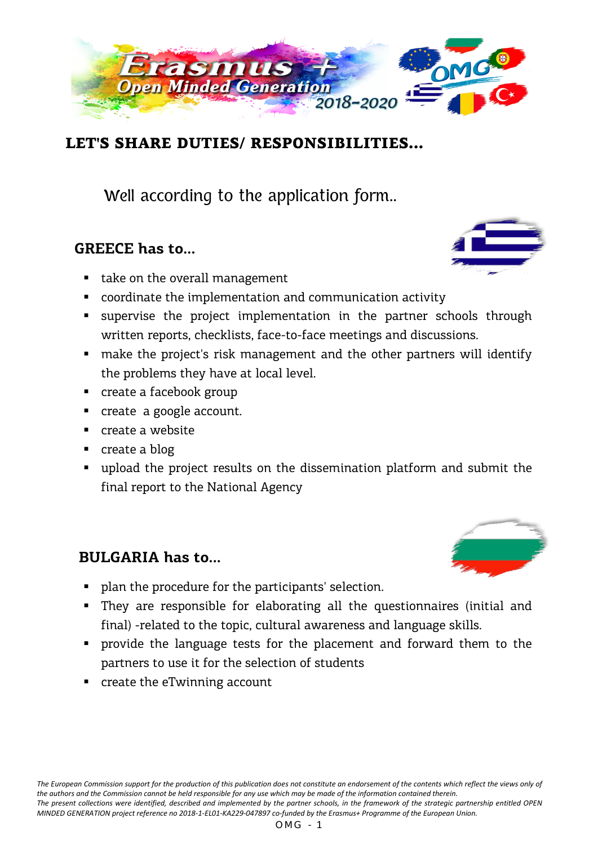

### LET'S SHARE DUTIES/ RESPONSIBILITIES...

Well according to the application form..

#### **GREECE has to...**

- take on the overall management
- coordinate the implementation and communication activity
- supervise the project implementation in the partner schools through written reports, checklists, face-to-face meetings and discussions.
- make the project's risk management and the other partners will identify the problems they have at local level.
- **•** create a facebook group
- create a google account.
- **Create a website**
- create a blog
- upload the project results on the dissemination platform and submit the final report to the National Agency

#### **BULGARIA has to...**

- **PEDED FIGHTER 1** plan the procedure for the participants' selection.
- They are responsible for elaborating all the questionnaires (initial and final) -related to the topic, cultural awareness and language skills.
- provide the language tests for the placement and forward them to the partners to use it for the selection of students
- create the eTwinning account

 $OMG - 1$ 



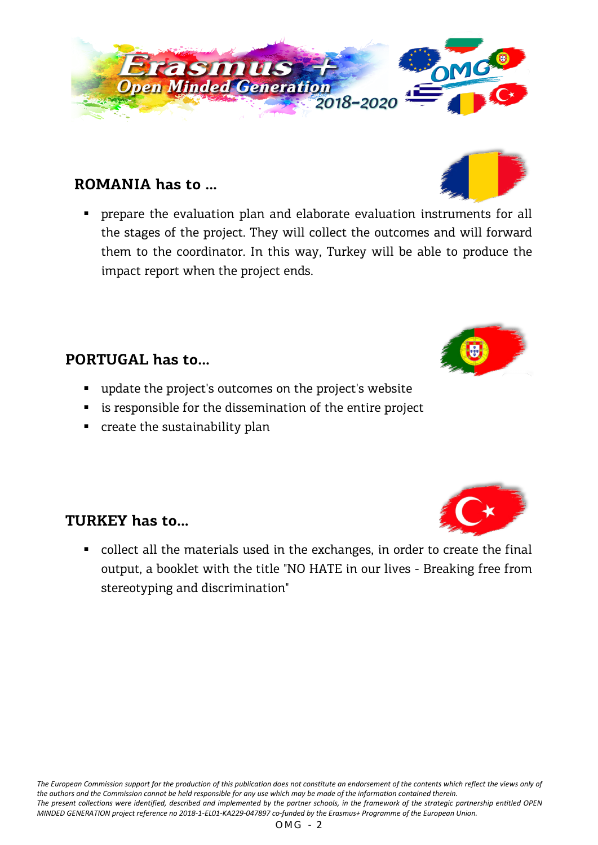# **ROMANIA has to ...**

 prepare the evaluation plan and elaborate evaluation instruments for all the stages of the project. They will collect the outcomes and will forward them to the coordinator. In this way, Turkey will be able to produce the impact report when the project ends.

### **PORTUGAL has to...**

- update the project's outcomes on the project's website
- **EXED** is responsible for the dissemination of the entire project
- **•** create the sustainability plan

### **TURKEY has to...**

 collect all the materials used in the exchanges, in order to create the final output, a booklet with the title "NO HATE in our lives - Breaking free from stereotyping and discrimination"









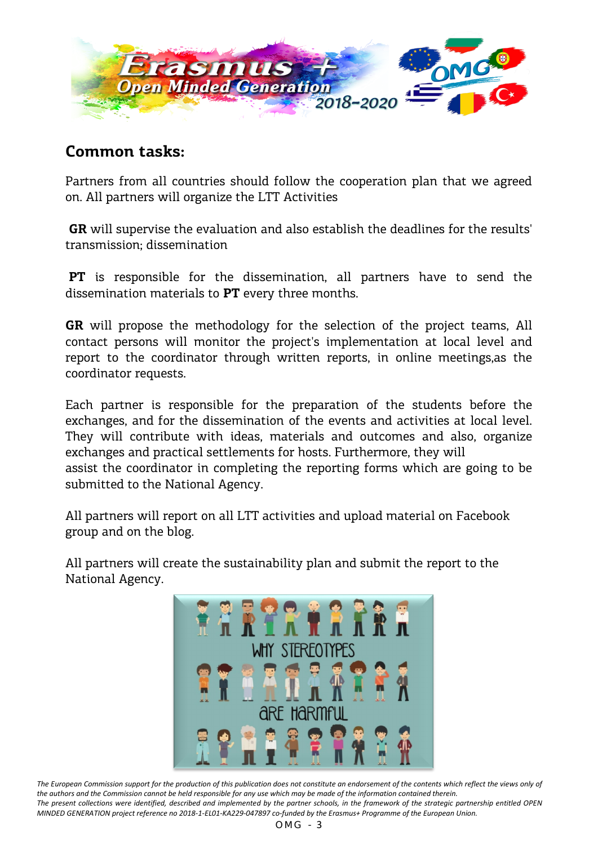

#### **Common tasks:**

Partners from all countries should follow the cooperation plan that we agreed on. All partners will organize the LTT Activities

**GR** will supervise the evaluation and also establish the deadlines for the results' transmission; dissemination

**PT** is responsible for the dissemination, all partners have to send the dissemination materials to **PT** every three months.

**GR** will propose the methodology for the selection of the project teams, All contact persons will monitor the project's implementation at local level and report to the coordinator through written reports, in online meetings,as the coordinator requests.

Each partner is responsible for the preparation of the students before the exchanges, and for the dissemination of the events and activities at local level. They will contribute with ideas, materials and outcomes and also, organize exchanges and practical settlements for hosts. Furthermore, they will assist the coordinator in completing the reporting forms which are going to be submitted to the National Agency.

All partners will report on all LTT activities and upload material on Facebook group and on the blog.

All partners will create the sustainability plan and submit the report to the National Agency.



The European Commission support for the production of this publication does not constitute an endorsement of the contents which reflect the views only of *the authors and the Commission cannot be held responsible for any use which may be made of the information contained therein. The present collections were identified, described and implemented by the partner schools, in the framework of the strategic partnership entitled OPEN MINDED GENERATION project reference no 2018-1-EL01-KA229-047897 co-funded by the Erasmus+ Programme of the European Union.*